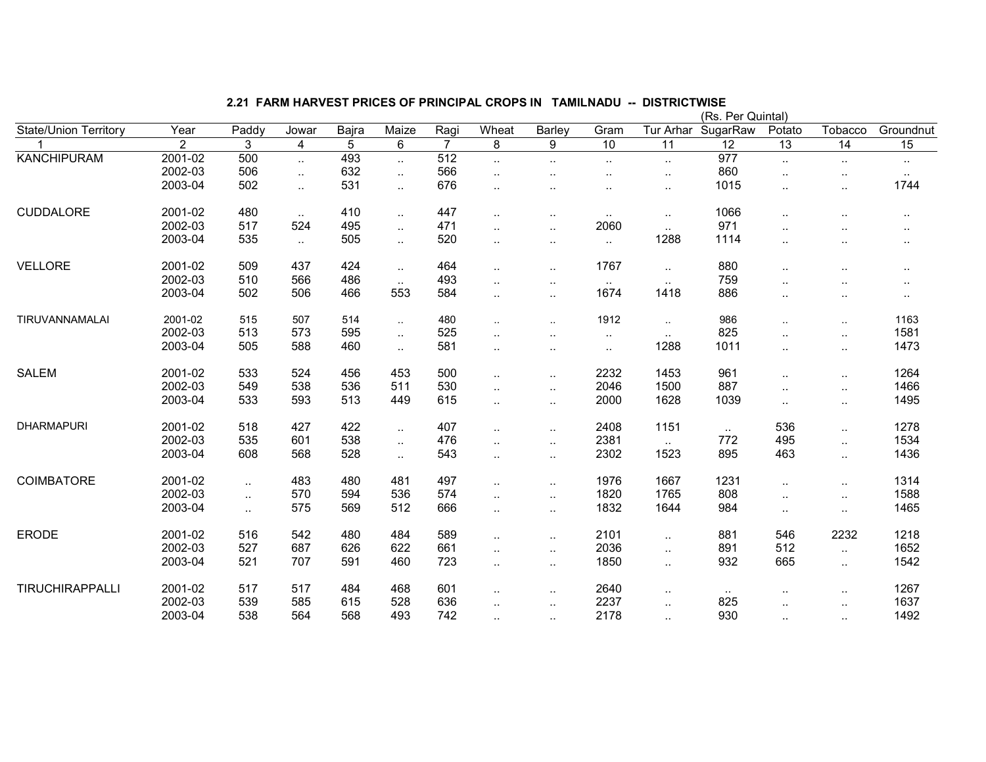|                              |                |          |                             |       |                      |                |                      |                      |                      |                      | (Rs. Per Quintal) |                      |                      |           |
|------------------------------|----------------|----------|-----------------------------|-------|----------------------|----------------|----------------------|----------------------|----------------------|----------------------|-------------------|----------------------|----------------------|-----------|
| <b>State/Union Territory</b> | Year           | Paddy    | Jowar                       | Bajra | Maize                | Ragi           | Wheat                | Barley               | Gram                 | Tur Arhar            | SugarRaw          | Potato               | Tobacco              | Groundnut |
|                              | $\overline{2}$ | 3        | $\overline{4}$              | 5     | 6                    | $\overline{7}$ | 8                    | 9                    | 10                   | $\overline{11}$      | $\overline{12}$   | $\overline{13}$      | 14                   | 15        |
| <b>KANCHIPURAM</b>           | 2001-02        | 500      | $\ddotsc$                   | 493   | $\ddotsc$            | 512            | $\ddotsc$            | $\ddot{\phantom{a}}$ | $\cdot$ .            | $\sim$               | 977               | $\sim$               | $\cdot$ .            | $\cdot$ . |
|                              | 2002-03        | 506      | $\mathcal{L}_{\mathcal{A}}$ | 632   | $\ddotsc$            | 566            | $\ddotsc$            | $\ddot{\phantom{a}}$ | $\ddot{\phantom{a}}$ | $\ddotsc$            | 860               | $\ddot{\phantom{a}}$ | $\ddotsc$            | $\cdot$ . |
|                              | 2003-04        | 502      | $\sim$ .                    | 531   | $\ddotsc$            | 676            | $\ddotsc$            | $\ddotsc$            | $\cdot$ .            | $\sim$               | 1015              | $\cdot$ .            | $\cdot$ .            | 1744      |
| <b>CUDDALORE</b>             | 2001-02        | 480      | $\sim$                      | 410   | $\ddot{\phantom{a}}$ | 447            | $\ddotsc$            | $\ddotsc$            | $\sim$               | $\sim$               | 1066              | $\ddotsc$            | $\cdot$ .            |           |
|                              | 2002-03        | 517      | 524                         | 495   | $\ddotsc$            | 471            | $\ddot{\phantom{1}}$ | $\ddotsc$            | 2060                 | $\ldots$             | 971               | $\ddotsc$            |                      |           |
|                              | 2003-04        | 535      | $\sim$                      | 505   | $\ddot{\phantom{a}}$ | 520            | $\ddotsc$            | $\ddot{\phantom{a}}$ | $\sim$               | 1288                 | 1114              | $\ddotsc$            | $\cdot$ .            |           |
| <b>VELLORE</b>               | 2001-02        | 509      | 437                         | 424   | $\ddot{\phantom{a}}$ | 464            | $\ddotsc$            | $\ddotsc$            | 1767                 | $\ddotsc$            | 880               | $\ddotsc$            | $\ddot{\phantom{a}}$ | $\cdot$ . |
|                              | 2002-03        | 510      | 566                         | 486   | $\sim$               | 493            | $\sim$               | $\ddot{\phantom{a}}$ | $\sim$               | $\sim$               | 759               |                      |                      | $\cdot$ . |
|                              | 2003-04        | 502      | 506                         | 466   | 553                  | 584            | ٠.                   | $\ddot{\phantom{a}}$ | 1674                 | 1418                 | 886               | $\cdot$ .            | $\cdot$ .            | $\cdot$ . |
| TIRUVANNAMALAI               | 2001-02        | 515      | 507                         | 514   | $\cdot$ .            | 480            | $\ddotsc$            | $\ddotsc$            | 1912                 | $\sim$               | 986               | $\sim$               | $\sim$               | 1163      |
|                              | 2002-03        | 513      | 573                         | 595   | $\ddotsc$            | 525            | $\ddot{\phantom{a}}$ | $\ddotsc$            | $\cdot$ .            | $\ddotsc$            | 825               | $\ddotsc$            | $\ddotsc$            | 1581      |
|                              | 2003-04        | 505      | 588                         | 460   | $\ddotsc$            | 581            | $\ddot{\phantom{a}}$ | $\ddot{\phantom{a}}$ | $\ddotsc$            | 1288                 | 1011              | $\ddotsc$            | $\ldots$             | 1473      |
| <b>SALEM</b>                 | 2001-02        | 533      | 524                         | 456   | 453                  | 500            | $\ddot{\phantom{1}}$ | $\ddotsc$            | 2232                 | 1453                 | 961               | $\cdot$ .            | $\cdot$ .            | 1264      |
|                              | 2002-03        | 549      | 538                         | 536   | 511                  | 530            | $\ddotsc$            | $\ddotsc$            | 2046                 | 1500                 | 887               | $\ddotsc$            | $\ldots$             | 1466      |
|                              | 2003-04        | 533      | 593                         | 513   | 449                  | 615            | $\ddotsc$            | $\ddotsc$            | 2000                 | 1628                 | 1039              | $\ddotsc$            | $\ldots$             | 1495      |
| <b>DHARMAPURI</b>            | 2001-02        | 518      | 427                         | 422   | $\ddotsc$            | 407            | $\ddot{\phantom{1}}$ | $\ddotsc$            | 2408                 | 1151                 | $\sim$            | 536                  | $\ddotsc$            | 1278      |
|                              | 2002-03        | 535      | 601                         | 538   | $\ddotsc$            | 476            | $\ddot{\phantom{a}}$ | $\ddotsc$            | 2381                 | $\sim$ .             | 772               | 495                  | $\ddotsc$            | 1534      |
|                              | 2003-04        | 608      | 568                         | 528   | $\ddot{\phantom{1}}$ | 543            | ٠.                   | $\cdot$ .            | 2302                 | 1523                 | 895               | 463                  | $\ldots$             | 1436      |
| <b>COIMBATORE</b>            | 2001-02        | $\ldots$ | 483                         | 480   | 481                  | 497            | $\ddotsc$            | $\ddot{\phantom{a}}$ | 1976                 | 1667                 | 1231              | $\ddotsc$            | $\ddotsc$            | 1314      |
|                              | 2002-03        | $\ldots$ | 570                         | 594   | 536                  | 574            | $\ddotsc$            | $\ddotsc$            | 1820                 | 1765                 | 808               | $\cdot$ .            | $\cdot$ .            | 1588      |
|                              | 2003-04        | $\sim$   | 575                         | 569   | 512                  | 666            | $\ddotsc$            | $\cdot$ .            | 1832                 | 1644                 | 984               | $\sim$               | $\cdots$             | 1465      |
| <b>ERODE</b>                 | 2001-02        | 516      | 542                         | 480   | 484                  | 589            | $\ddotsc$            | $\ddotsc$            | 2101                 | $\ddotsc$            | 881               | 546                  | 2232                 | 1218      |
|                              | 2002-03        | 527      | 687                         | 626   | 622                  | 661            | $\ddotsc$            | $\ddot{\phantom{a}}$ | 2036                 | $\ddotsc$            | 891               | 512                  | $\ddotsc$            | 1652      |
|                              | 2003-04        | 521      | 707                         | 591   | 460                  | 723            | $\ddotsc$            | $\ddotsc$            | 1850                 | $\ddotsc$            | 932               | 665                  | $\ddotsc$            | 1542      |
| TIRUCHIRAPPALLI              | 2001-02        | 517      | 517                         | 484   | 468                  | 601            | ٠.                   | $\ddot{\phantom{a}}$ | 2640                 | $\sim$               |                   |                      | $\cdot$ .            | 1267      |
|                              | 2002-03        | 539      | 585                         | 615   | 528                  | 636            | ٠.                   | $\ddotsc$            | 2237                 | $\cdot$ .            | 825               |                      | $\cdot$ .            | 1637      |
|                              | 2003-04        | 538      | 564                         | 568   | 493                  | 742            | ٠.                   | $\cdot$ .            | 2178                 | $\ddot{\phantom{a}}$ | 930               | $\cdot$ .            | $\cdot$ .            | 1492      |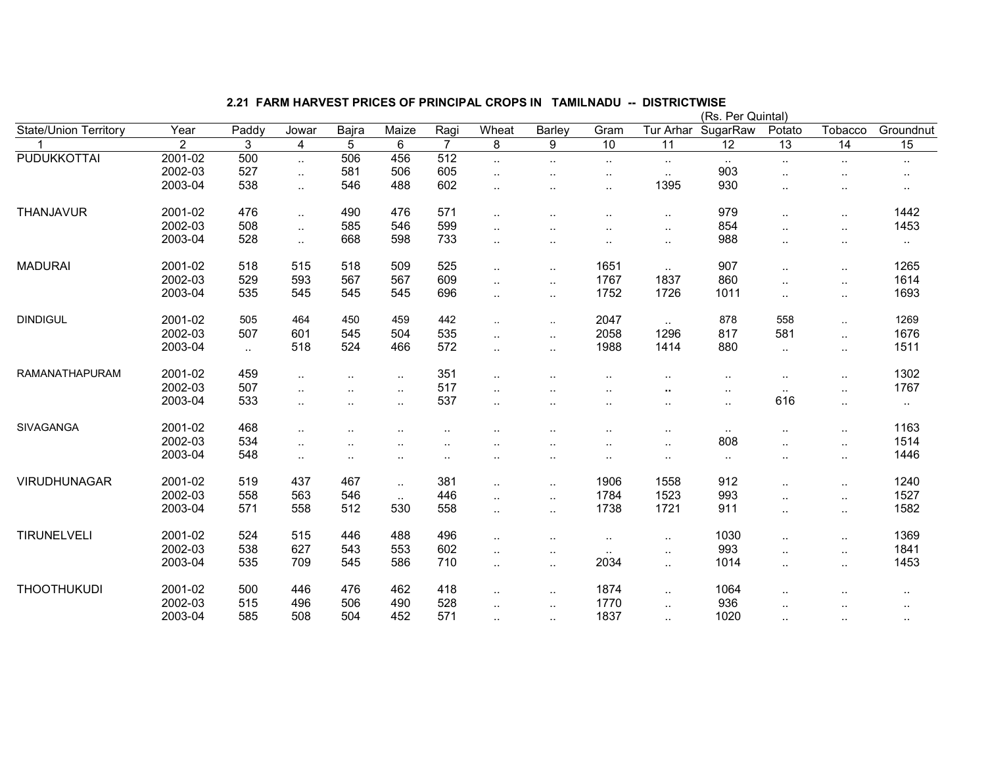|                              |                |           |                             |           |           |                      |                      |                        |                        |                      | (Rs. Per Quintal) |                      |                                                                                                                                                                                  |                      |
|------------------------------|----------------|-----------|-----------------------------|-----------|-----------|----------------------|----------------------|------------------------|------------------------|----------------------|-------------------|----------------------|----------------------------------------------------------------------------------------------------------------------------------------------------------------------------------|----------------------|
| <b>State/Union Territory</b> | Year           | Paddy     | Jowar                       | Bajra     | Maize     | Ragi                 | Wheat                | Barley                 | Gram                   | Tur Arhar            | SugarRaw          | Potato               | Tobacco                                                                                                                                                                          | Groundnut            |
|                              | $\overline{2}$ | 3         | $\overline{4}$              | 5         | 6         | $\overline{7}$       | 8                    | 9                      | 10                     | $\overline{11}$      | $\overline{12}$   | $\overline{13}$      | 14                                                                                                                                                                               | 15                   |
| <b>PUDUKKOTTAI</b>           | 2001-02        | 500       | $\ddotsc$                   | 506       | 456       | $\overline{512}$     | $\ddotsc$            | $\ddot{\phantom{a}}$   | $\cdot$ .              | $\sim$               |                   | $\cdot$ .            | $\cdot$ .                                                                                                                                                                        | $\cdot$ .            |
|                              | 2002-03        | 527       | $\mathcal{L}_{\mathcal{A}}$ | 581       | 506       | 605                  | $\ddotsc$            | $\ddotsc$              | $\ddotsc$              | $\sim$ .             | 903               | $\ddotsc$            | $\ddot{\phantom{a}}$<br><br>$\ddotsc$<br>$\ldots$<br>$\cdot$ .<br>$\ddotsc$<br>$\ldots$<br>$\sim$<br>$\sim$<br>$\ddotsc$<br>$\sim$ .<br>$\ddot{\phantom{1}}$<br>$\sim$<br>$\sim$ |                      |
|                              | 2003-04        | 538       | $\sim$                      | 546       | 488       | 602                  | $\ddotsc$            | $\ddotsc$              | $\cdot$ .              | 1395                 | 930               |                      |                                                                                                                                                                                  | $\ddot{\phantom{a}}$ |
| <b>THANJAVUR</b>             | 2001-02        | 476       | $\mathcal{L}_{\mathcal{A}}$ | 490       | 476       | 571                  | $\ddot{\phantom{1}}$ | $\ddot{\phantom{a}}$   | $\ddotsc$              | $\sim$ .             | 979               | $\ddotsc$            |                                                                                                                                                                                  | 1442                 |
|                              | 2002-03        | 508       | $\sim$ .                    | 585       | 546       | 599                  | $\ddot{\phantom{1}}$ |                        | $\ddot{\phantom{a}}$   | $\sim$               | 854               | $\ddot{\phantom{a}}$ |                                                                                                                                                                                  | 1453                 |
|                              | 2003-04        | 528       | $\sim$ .                    | 668       | 598       | 733                  | $\ddotsc$            | $\ddot{\phantom{a}}$   | $\ddotsc$              | $\sim$ .             | 988               | $\ddotsc$            |                                                                                                                                                                                  | $\cdots$             |
| <b>MADURAI</b>               | 2001-02        | 518       | 515                         | 518       | 509       | 525                  | $\ddotsc$            | $\ddotsc$              | 1651                   | $\ddotsc$            | 907               | $\ddotsc$            |                                                                                                                                                                                  | 1265                 |
|                              | 2002-03        | 529       | 593                         | 567       | 567       | 609                  | $\ddotsc$            | $\ddotsc$              | 1767                   | 1837                 | 860               | $\cdot$ .            |                                                                                                                                                                                  | 1614                 |
|                              | 2003-04        | 535       | 545                         | 545       | 545       | 696                  | ٠.                   | $\ddot{\phantom{a}}$ . | 1752                   | 1726                 | 1011              | $\sim$               |                                                                                                                                                                                  | 1693                 |
| <b>DINDIGUL</b>              | 2001-02        | 505       | 464                         | 450       | 459       | 442                  | $\ddotsc$            | $\ddotsc$              | 2047                   | $\ldots$             | 878               | 558                  |                                                                                                                                                                                  | 1269                 |
|                              | 2002-03        | 507       | 601                         | 545       | 504       | 535                  | $\ddotsc$            | $\ddot{\phantom{a}}$ . | 2058                   | 1296                 | 817               | 581                  |                                                                                                                                                                                  | 1676                 |
|                              | 2003-04        | $\ddotsc$ | 518                         | 524       | 466       | 572                  | $\ddotsc$            | $\ddotsc$              | 1988                   | 1414                 | 880               | $\cdot$ .            |                                                                                                                                                                                  | 1511                 |
| <b>RAMANATHAPURAM</b>        | 2001-02        | 459       | $\ddotsc$                   | $\cdot$ . | $\sim$    | 351                  | $\ddotsc$            |                        | $\ddotsc$              |                      | $\cdot$ .         | $\ddotsc$            |                                                                                                                                                                                  | 1302                 |
|                              | 2002-03        | 507       | $\ddotsc$                   | $\cdot$ . | $\sim$    | 517                  | $\sim$               | $\ddot{\phantom{a}}$   | $\ddotsc$              |                      | $\sim$ $\sim$     | $\sim$               |                                                                                                                                                                                  | 1767                 |
|                              | 2003-04        | 533       | $\ddotsc$                   | $\cdot$ . | $\ddotsc$ | 537                  |                      | $\ddotsc$              | $\sim$                 | $\sim$               | $\cdot$ .         | 616                  |                                                                                                                                                                                  | $\sim$               |
| SIVAGANGA                    | 2001-02        | 468       | $\ddotsc$                   |           |           | ٠.                   |                      |                        | $\ddotsc$              | $\ddotsc$            | $\cdot$ .         | $\ddotsc$            | $\ddot{\phantom{1}}$                                                                                                                                                             | 1163                 |
|                              | 2002-03        | 534       | $\sim$                      |           |           |                      |                      | ٠.                     | ٠.                     | $\sim$               | 808               | $\ddot{\phantom{1}}$ | $\ddot{\phantom{1}}$                                                                                                                                                             | 1514                 |
|                              | 2003-04        | 548       | $\sim$                      | $\ddotsc$ | ٠.        | $\ddot{\phantom{a}}$ |                      | $\ddotsc$              | $\cdot$ .              | $\sim$               | $\ddotsc$         | $\ddotsc$            | $\sim$                                                                                                                                                                           | 1446                 |
| VIRUDHUNAGAR                 | 2001-02        | 519       | 437                         | 467       | $\sim$    | 381                  | $\ddot{\phantom{1}}$ | $\ddotsc$              | 1906                   | 1558                 | 912               | $\ddotsc$            | $\ldots$                                                                                                                                                                         | 1240                 |
|                              | 2002-03        | 558       | 563                         | 546       | $\ddotsc$ | 446                  | $\ddot{\phantom{a}}$ | $\ddotsc$              | 1784                   | 1523                 | 993               | $\ddotsc$            | $\ddotsc$                                                                                                                                                                        | 1527                 |
|                              | 2003-04        | 571       | 558                         | 512       | 530       | 558                  | $\sim$               | $\ddot{\phantom{a}}$   | 1738                   | 1721                 | 911               | $\ddotsc$            | $\ldots$                                                                                                                                                                         | 1582                 |
| TIRUNELVELI                  | 2001-02        | 524       | 515                         | 446       | 488       | 496                  | $\ddotsc$            | $\ddot{\phantom{a}}$   | $\ddot{\phantom{a}}$ . | $\sim$               | 1030              | $\ddotsc$            | $\ldots$                                                                                                                                                                         | 1369                 |
|                              | 2002-03        | 538       | 627                         | 543       | 553       | 602                  | $\ddotsc$            | $\ddot{\phantom{a}}$   | $\sim$                 | $\cdot$ .            | 993               | $\ddotsc$            | $\ldots$                                                                                                                                                                         | 1841                 |
|                              | 2003-04        | 535       | 709                         | 545       | 586       | 710                  | $\ddotsc$            | $\ddotsc$              | 2034                   | $\ldots$             | 1014              | $\ddotsc$            | $\cdot$ .                                                                                                                                                                        | 1453                 |
| <b>THOOTHUKUDI</b>           | 2001-02        | 500       | 446                         | 476       | 462       | 418                  | $\ddot{\phantom{1}}$ | $\ddotsc$              | 1874                   | $\ddotsc$            | 1064              |                      |                                                                                                                                                                                  |                      |
|                              | 2002-03        | 515       | 496                         | 506       | 490       | 528                  | $\ddot{\phantom{a}}$ | $\ddotsc$              | 1770                   | $\ddotsc$            | 936               |                      |                                                                                                                                                                                  |                      |
|                              | 2003-04        | 585       | 508                         | 504       | 452       | 571                  |                      | $\ddot{\phantom{a}}$   | 1837                   | $\ddot{\phantom{a}}$ | 1020              | $\sim$               | $\cdot$ .                                                                                                                                                                        | $\cdot$ .            |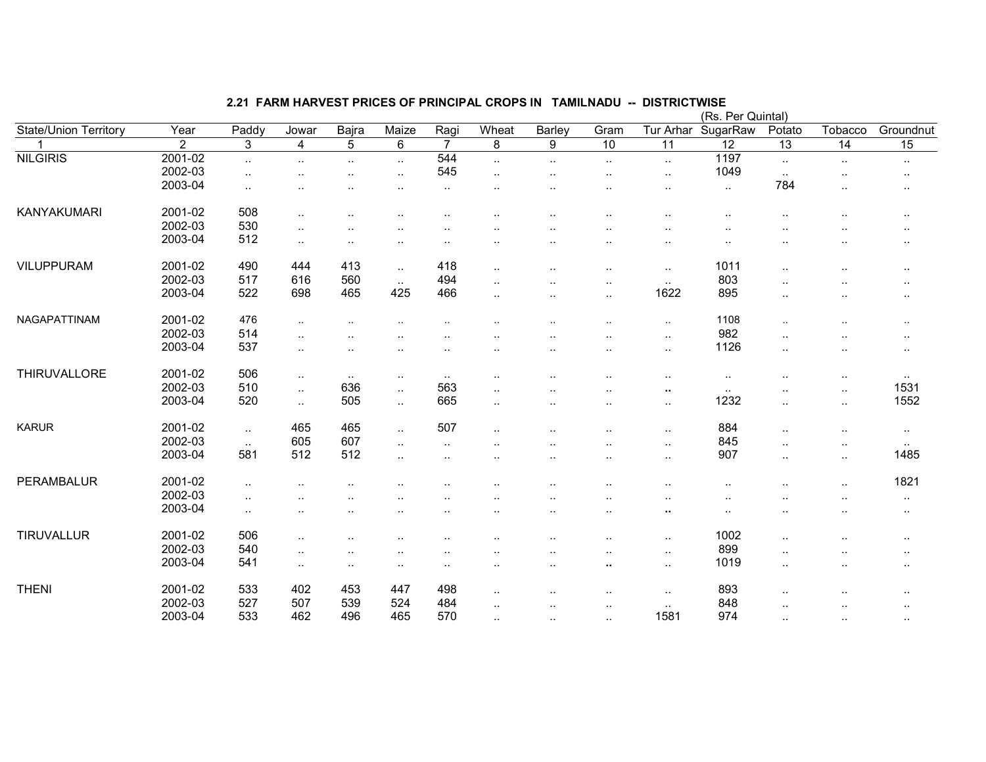|                              |                |           |                        |           |                      |                |                      |                      |                        |                 | (Rs. Per Quintal) |                      |                      |                 |
|------------------------------|----------------|-----------|------------------------|-----------|----------------------|----------------|----------------------|----------------------|------------------------|-----------------|-------------------|----------------------|----------------------|-----------------|
| <b>State/Union Territory</b> | Year           | Paddy     | Jowar                  | Bajra     | Maize                | Ragi           | Wheat                | Barley               | Gram                   | Tur Arhar       | SugarRaw          | Potato               | Tobacco              | Groundnut       |
|                              | $\overline{2}$ | 3         | 4                      | 5         | $6\phantom{1}$       | $\overline{7}$ | 8                    | 9                    | $\overline{10}$        | $\overline{11}$ | $\overline{12}$   | $\overline{13}$      | $\overline{14}$      | $\overline{15}$ |
| <b>NILGIRIS</b>              | 2001-02        | $\sim$ .  | $\ddot{\phantom{a}}$ . | $\ldots$  | $\sim$ .             | 544            | $\ddotsc$            | $\cdot$ .            | $\cdot$ .              | $\sim$          | 1197              | $\sim$               | $\ldots$             | $\cdot$ .       |
|                              | 2002-03        | $\ddotsc$ |                        | $\ddotsc$ | $\ddotsc$            | 545            | $\ddot{\phantom{a}}$ | $\cdot$ .            | $\ddot{\phantom{a}}$   | $\ddotsc$       | 1049              | $\ddot{\phantom{a}}$ |                      |                 |
|                              | 2003-04        | $\ddotsc$ |                        |           |                      | ٠.             |                      |                      | $\cdot$ .              | ٠.              | $\sim$            | 784                  | $\ddotsc$            | $\cdots$        |
| <b>KANYAKUMARI</b>           | 2001-02        | 508       | $\ddotsc$              | $\cdot$ . |                      |                |                      | $\cdot$ .            | $\ddot{\phantom{a}}$   |                 | $\cdot$ .         |                      | $\cdot$ .            | $\cdots$        |
|                              | 2002-03        | 530       | $\ddotsc$              |           |                      |                |                      |                      |                        |                 |                   |                      |                      | $\cdot$ .       |
|                              | 2003-04        | 512       | $\cdot$ .              | $\cdot$ . | $\ddotsc$            |                |                      |                      | ٠.                     | ٠.              |                   |                      |                      | $\cdot$ .       |
| <b>VILUPPURAM</b>            | 2001-02        | 490       | 444                    | 413       | $\sim$               | 418            | $\ddotsc$            | ٠.                   | $\ddot{\phantom{a}}$   | $\ldots$        | 1011              | $\cdot$ .            | $\ddot{\phantom{a}}$ | $\cdot$ .       |
|                              | 2002-03        | 517       | 616                    | 560       | $\sim$ $\sim$        | 494            |                      |                      | $\ddot{\phantom{1}}$ . | $\sim$          | 803               |                      |                      | $\cdots$        |
|                              | 2003-04        | 522       | 698                    | 465       | 425                  | 466            | ٠.                   | ٠.                   | $\ddot{\phantom{a}}$   | 1622            | 895               |                      |                      | $\cdot$ .       |
| NAGAPATTINAM                 | 2001-02        | 476       | $\sim$                 |           |                      |                |                      |                      |                        | $\sim$          | 1108              | $\ddot{\phantom{a}}$ |                      | $\sim$          |
|                              | 2002-03        | 514       | $\ddotsc$              |           |                      |                |                      |                      | $\ddot{\phantom{a}}$   | $\sim$          | 982               | $\ddot{\phantom{a}}$ |                      | $\cdot$ .       |
|                              | 2003-04        | 537       | $\ddotsc$              |           |                      |                |                      |                      |                        | $\sim$          | 1126              |                      | $\sim$               | $\cdot$ .       |
|                              |                |           |                        |           |                      |                |                      |                      |                        |                 |                   |                      |                      |                 |
| THIRUVALLORE                 | 2001-02        | 506       | $\ddotsc$              | $\sim$    | $\sim$               | $\sim$         | $\ddotsc$            |                      |                        | $\sim$          | $\cdot$ .         |                      | $\ldots$             | $\sim$          |
|                              | 2002-03        | 510       | $\sim$                 | 636       | $\ddot{\phantom{1}}$ | 563            | ٠.                   |                      |                        | $\cdot$         | $\sim$            |                      | $\cdot$ .            | 1531            |
|                              | 2003-04        | 520       | $\ddotsc$              | 505       | $\sim$ .             | 665            | $\ddot{\phantom{a}}$ | $\ddot{\phantom{a}}$ | $\ddotsc$              | $\sim$          | 1232              | $\ddotsc$            | $\sim$               | 1552            |
| <b>KARUR</b>                 | 2001-02        | $\sim$    | 465                    | 465       | $\sim$ .             | 507            | $\ddot{\phantom{a}}$ |                      | . .                    | $\sim$          | 884               | $\ddotsc$            | $\ddotsc$            | $\cdot$ .       |
|                              | 2002-03        | $\ddotsc$ | 605                    | 607       | $\ddotsc$            | $\ddotsc$      |                      |                      | $\ddot{\phantom{a}}$   | $\ddotsc$       | 845               | $\ddot{\phantom{a}}$ | $\ddot{\phantom{a}}$ | $\sim$          |
|                              | 2003-04        | 581       | 512                    | 512       | $\ddot{\phantom{1}}$ |                |                      | $\ddotsc$            | $\cdot$ .              | $\sim$          | 907               | $\sim$               | $\sim$ $\sim$        | 1485            |
|                              |                |           |                        |           |                      |                |                      |                      |                        |                 |                   |                      |                      |                 |
| PERAMBALUR                   | 2001-02        | $\cdot$ . |                        |           |                      |                |                      |                      | $\ddot{\phantom{a}}$   | ٠.              |                   | ٠.                   | $\cdot$ .            | 1821            |
|                              | 2002-03        | $\ddotsc$ |                        |           |                      |                |                      |                      |                        |                 |                   |                      |                      | $\cdot$ .       |
|                              | 2003-04        | $\sim$    |                        |           |                      |                | . .                  |                      | $\cdot$ .              | ٠.              |                   |                      |                      | $\cdots$        |
| <b>TIRUVALLUR</b>            | 2001-02        | 506       | $\ddotsc$              |           |                      |                |                      |                      |                        | $\ddotsc$       | 1002              |                      |                      | $\sim$          |
|                              | 2002-03        | 540       | $\ddotsc$              | $\cdot$ . |                      | . .            |                      |                      |                        | $\sim$          | 899               | $\ddot{\phantom{a}}$ |                      | $\sim$          |
|                              | 2003-04        | 541       | $\ddot{\phantom{a}}$ . |           | ٠.                   |                |                      |                      | ٠.                     | $\sim$          | 1019              |                      |                      | $\sim$ $\sim$   |
| <b>THENI</b>                 | 2001-02        | 533       | 402                    | 453       | 447                  | 498            | ٠.                   |                      | $\ddotsc$              | $\sim$          | 893               |                      |                      | $\cdot$ .       |
|                              | 2002-03        | 527       | 507                    | 539       | 524                  | 484            |                      |                      |                        | $\sim$          | 848               |                      |                      |                 |
|                              | 2003-04        | 533       | 462                    | 496       | 465                  | 570            | ٠.                   | $\ddot{\phantom{a}}$ | $\ddot{\phantom{a}}$   | 1581            | 974               | $\ddotsc$            | $\ddotsc$            |                 |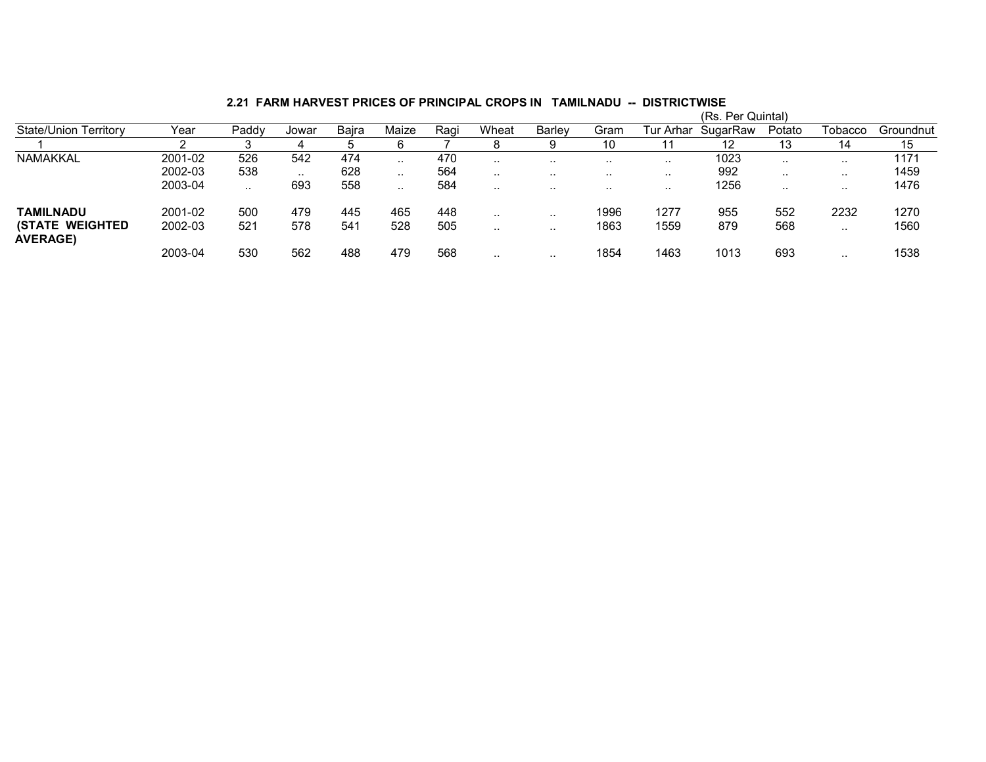|                                            |         |       |           |       |          |      |           |           |           |           | (Rs. Per Quintal) |           |           |           |
|--------------------------------------------|---------|-------|-----------|-------|----------|------|-----------|-----------|-----------|-----------|-------------------|-----------|-----------|-----------|
| <b>State/Union Territory</b>               | Year    | Paddy | Jowar     | Baira | Maize    | Ragi | Wheat     | Barlev    | Gram      | Tur Arhar | SugarRaw          | Potato    | Tobacco   | Groundnut |
|                                            |         |       | 4         |       |          |      |           | y         | 10        |           | 12                | 13        | 14        | 15        |
| NAMAKKAL                                   | 2001-02 | 526   | 542       | 474   | $\cdots$ | 470  | $\cdot$ . | $\cdot$ . | . .       | $\sim$    | 1023              |           |           | 1171      |
|                                            | 2002-03 | 538   | $\cdot$ . | 628   | $\cdots$ | 564  | $\cdot$ . | $\cdot$ . | $\cdot$ . | $\sim$    | 992               | $\cdot$ . | $\cdot$ . | 1459      |
|                                            | 2003-04 |       | 693       | 558   | .        | 584  | . .       | .         | . .       | $\cdots$  | 1256              | . .       |           | 1476      |
| TAMILNADU                                  | 2001-02 | 500   | 479       | 445   | 465      | 448  | $\cdots$  | $\cdot$ . | 1996      | 1277      | 955               | 552       | 2232      | 1270      |
| <b>(STATE WEIGHTED)</b><br><b>AVERAGE)</b> | 2002-03 | 521   | 578       | 541   | 528      | 505  | $\cdot$ . | $\cdot$ . | 1863      | 1559      | 879               | 568       |           | 1560      |
|                                            | 2003-04 | 530   | 562       | 488   | 479      | 568  | $\cdot$ . | .         | 1854      | 1463      | 1013              | 693       |           | 1538      |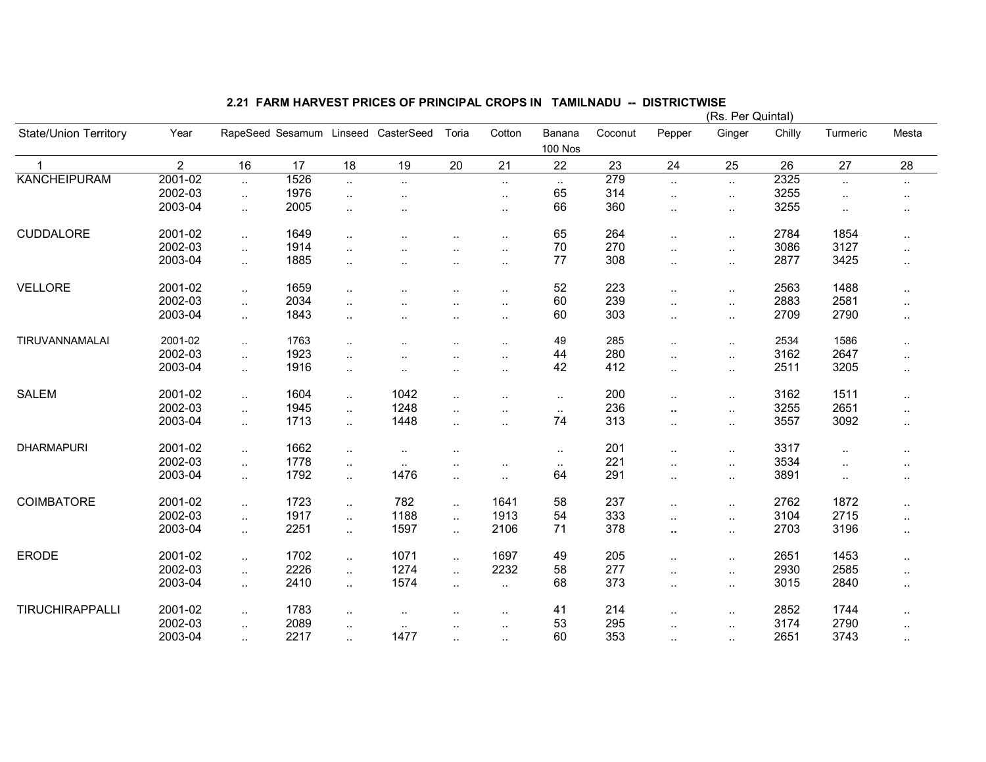|                              |                |                      |      |           |                                     |                        |                      |                          |         |                      | (Rs. Per Quintal) |        |                      |           |
|------------------------------|----------------|----------------------|------|-----------|-------------------------------------|------------------------|----------------------|--------------------------|---------|----------------------|-------------------|--------|----------------------|-----------|
| <b>State/Union Territory</b> | Year           |                      |      |           | RapeSeed Sesamum Linseed CasterSeed | Toria                  | Cotton               | Banana<br><b>100 Nos</b> | Coconut | Pepper               | Ginger            | Chilly | Turmeric             | Mesta     |
| $\mathbf{1}$                 | $\overline{2}$ | 16                   | 17   | 18        | 19                                  | 20                     | 21                   | 22                       | 23      | 24                   | 25                | 26     | 27                   | 28        |
| <b>KANCHEIPURAM</b>          | 2001-02        | $\ddot{\phantom{1}}$ | 1526 | u.        | $\ddot{\phantom{a}}$                |                        | $\sim$               | $\sim$                   | 279     | $\ddot{\phantom{1}}$ | $\ddotsc$         | 2325   | $\ddot{\phantom{1}}$ | $\ldots$  |
|                              | 2002-03        | $\ddotsc$            | 1976 | $\cdot$ . | $\ddot{\phantom{a}}$                |                        | $\cdot$ .            | 65                       | 314     | $\ddotsc$            | $\ldots$          | 3255   | $\ddotsc$            |           |
|                              | 2003-04        |                      | 2005 |           |                                     |                        |                      | 66                       | 360     |                      |                   | 3255   |                      |           |
|                              |                | $\sim$               |      | $\ldots$  | $\ddot{\phantom{0}}$                |                        |                      |                          |         | $\ddotsc$            | $\sim$            |        | $\ddot{\phantom{a}}$ | $\cdot$ . |
| CUDDALORE                    | 2001-02        | $\ddotsc$            | 1649 | $\ldots$  |                                     |                        |                      | 65                       | 264     | $\ddotsc$            | $\ddotsc$         | 2784   | 1854                 | $\sim$    |
|                              | 2002-03        | $\ddotsc$            | 1914 | $\cdot$ . |                                     |                        | $\ddotsc$            | 70                       | 270     | $\ddotsc$            | $\sim$            | 3086   | 3127                 | $\ddotsc$ |
|                              | 2003-04        | $\ddotsc$            | 1885 | $\ddotsc$ |                                     |                        | $\ddot{\phantom{a}}$ | 77                       | 308     | $\ddotsc$            | $\ddotsc$         | 2877   | 3425                 | $\ddotsc$ |
|                              |                |                      |      |           |                                     |                        |                      |                          |         |                      |                   |        |                      |           |
| <b>VELLORE</b>               | 2001-02        | $\ddot{\phantom{a}}$ | 1659 | $\cdot$ . |                                     | $\ddot{\phantom{a}}$   | $\cdot$ .            | 52                       | 223     | $\ddotsc$            | $\ddotsc$         | 2563   | 1488                 | $\cdot$ . |
|                              | 2002-03        | $\ddotsc$            | 2034 | $\ddotsc$ |                                     | $\ddotsc$              | $\ldots$             | 60                       | 239     | $\ddotsc$            | $\sim$            | 2883   | 2581                 | $\sim$    |
|                              | 2003-04        | $\ddotsc$            | 1843 | $\ddotsc$ | $\cdot$ .                           | $\sim$                 | $\ddotsc$            | 60                       | 303     | $\ddotsc$            | $\sim$            | 2709   | 2790                 | $\cdot$ . |
|                              |                |                      |      |           |                                     |                        |                      |                          |         |                      |                   |        |                      |           |
| TIRUVANNAMALAI               | 2001-02        | $\ddotsc$            | 1763 | $\cdot$ . |                                     |                        | $\ddotsc$            | 49                       | 285     | $\cdot$ .            | $\sim$            | 2534   | 1586                 | $\sim$    |
|                              | 2002-03        | $\ddot{\phantom{1}}$ | 1923 | $\cdot$ . |                                     |                        |                      | 44                       | 280     | $\sim$               | $\cdot$ .         | 3162   | 2647                 | $\cdot$ . |
|                              | 2003-04        | $\sim$               | 1916 | $\ldots$  |                                     | $\ddotsc$              | $\ldots$             | 42                       | 412     | $\ddotsc$            | $\sim$            | 2511   | 3205                 | $\ddotsc$ |
|                              |                |                      |      |           |                                     |                        |                      |                          |         |                      |                   |        |                      |           |
| <b>SALEM</b>                 | 2001-02        | $\sim$               | 1604 | $\ldots$  | 1042                                | $\ddot{\phantom{a}}$   | $\cdot$ .            | $\sim$                   | 200     | $\sim$               | $\sim$            | 3162   | 1511                 | $\ddotsc$ |
|                              | 2002-03        | $\ddotsc$            | 1945 | $\ddotsc$ | 1248                                | $\ddot{\phantom{a}}$ . | $\ddotsc$            | $\ddotsc$                | 236     | ٠.                   | $\ldots$          | 3255   | 2651                 | $\sim$    |
|                              | 2003-04        | $\ddotsc$            | 1713 | $\ddotsc$ | 1448                                | $\ddotsc$              | $\ddotsc$            | 74                       | 313     | $\mathbf{L}$         | $\sim$            | 3557   | 3092                 | $\sim$    |
|                              |                |                      |      |           |                                     |                        |                      |                          |         |                      |                   |        |                      |           |
| <b>DHARMAPURI</b>            | 2001-02        | $\ddotsc$            | 1662 | $\cdot$ . | $\ddotsc$                           |                        |                      | $\sim$ $\sim$            | 201     | $\ddotsc$            | $\ddotsc$         | 3317   | $\ddot{\phantom{a}}$ | $\ddotsc$ |
|                              | 2002-03        | $\sim$               | 1778 | $\sim$    | $\cdot$ .                           | $\sim$                 | $\ddotsc$            | $\sim$                   | 221     | $\ddotsc$            | $\sim$            | 3534   | $\ddotsc$            | $\cdot$ . |
|                              | 2003-04        | $\ddotsc$            | 1792 | $\ddotsc$ | 1476                                | ٠.                     |                      | 64                       | 291     | $\ddotsc$            | $\sim$            | 3891   | $\ddotsc$            | $\cdot$ . |
|                              |                |                      |      |           |                                     |                        |                      |                          |         |                      |                   |        |                      |           |
| COIMBATORE                   | 2001-02        | $\ddotsc$            | 1723 | $\ldots$  | 782                                 | $\ddot{\phantom{a}}$ . | 1641                 | 58                       | 237     | $\ddotsc$            | $\ldots$          | 2762   | 1872                 | $\sim$    |
|                              | 2002-03        | $\ddotsc$            | 1917 | $\sim$    | 1188                                | $\ddotsc$              | 1913                 | 54                       | 333     | $\sim$               | $\ddotsc$         | 3104   | 2715                 | $\ddotsc$ |
|                              | 2003-04        | $\ddotsc$            | 2251 | $\ddotsc$ | 1597                                | $\ddotsc$              | 2106                 | 71                       | 378     | ٠.                   | $\ddotsc$         | 2703   | 3196                 | $\cdot$ . |
|                              |                |                      |      |           |                                     |                        |                      |                          |         |                      |                   |        |                      |           |
| <b>ERODE</b>                 | 2001-02        | $\ddotsc$            | 1702 | $\ddotsc$ | 1071                                | $\ddotsc$              | 1697                 | 49                       | 205     | $\ddotsc$            | $\cdot$ .         | 2651   | 1453                 | $\sim$    |
|                              | 2002-03        | $\ddotsc$            | 2226 | $\ddotsc$ | 1274                                | Ω.                     | 2232                 | 58                       | 277     | $\ddotsc$            | $\sim$            | 2930   | 2585                 | $\cdot$ . |
|                              | 2003-04        | $\ddotsc$            | 2410 | $\ldots$  | 1574                                | $\sim$                 | $\ldots$             | 68                       | 373     | $\mathbf{L}$         | $\sim$            | 3015   | 2840                 | $\ddotsc$ |
|                              |                |                      |      |           |                                     |                        |                      |                          |         |                      |                   |        |                      |           |
| TIRUCHIRAPPALLI              | 2001-02        | $\sim$               | 1783 | $\sim$    | $\ddot{\phantom{0}}$                |                        | $\sim$               | 41                       | 214     | $\sim$               | $\sim$            | 2852   | 1744                 | $\cdot$ . |
|                              | 2002-03        | $\ddotsc$            | 2089 | $\ddotsc$ | $\ddot{\phantom{a}}$                |                        | $\cdot$ .            | 53                       | 295     | $\ddotsc$            | $\ddotsc$         | 3174   | 2790                 | $\ddotsc$ |
|                              | 2003-04        | $\ddot{\phantom{1}}$ | 2217 | $\ddotsc$ | 1477                                | ٠.                     | $\ldots$             | 60                       | 353     | $\ddotsc$            | $\ddotsc$         | 2651   | 3743                 | $\sim$    |
|                              |                |                      |      |           |                                     |                        |                      |                          |         |                      |                   |        |                      |           |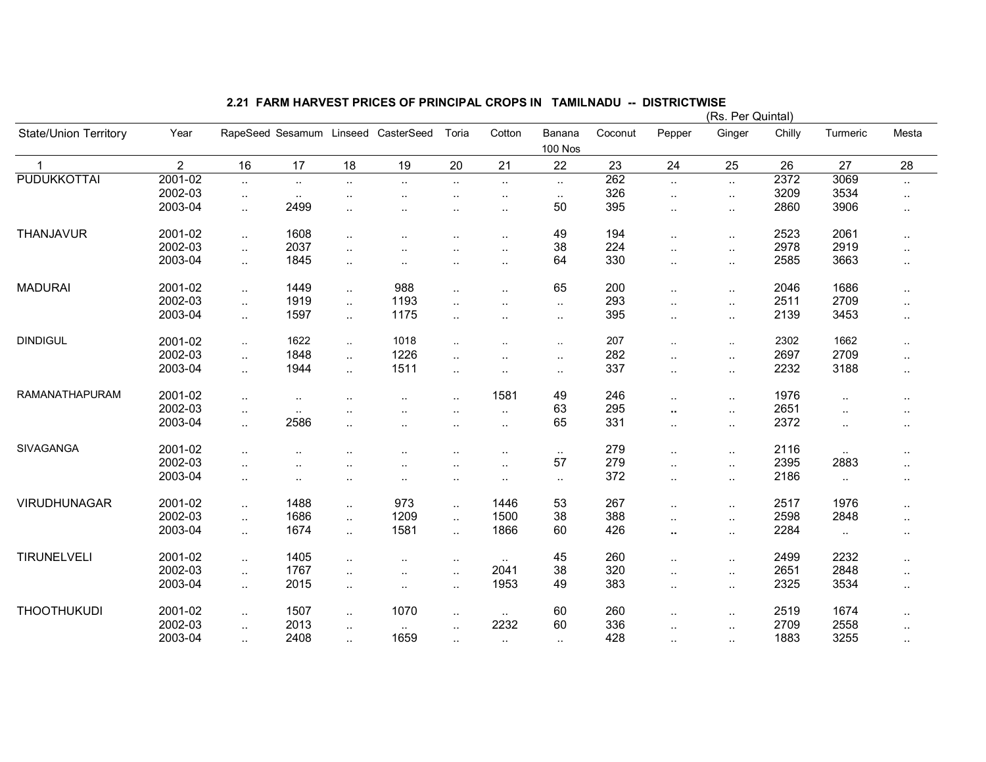|                              |                |                      |           |                      |                                     |                      |                      |                          |         |                      | (Rs. Per Quintal) |        |                      |           |
|------------------------------|----------------|----------------------|-----------|----------------------|-------------------------------------|----------------------|----------------------|--------------------------|---------|----------------------|-------------------|--------|----------------------|-----------|
| <b>State/Union Territory</b> | Year           |                      |           |                      | RapeSeed Sesamum Linseed CasterSeed | Toria                | Cotton               | Banana<br><b>100 Nos</b> | Coconut | Pepper               | Ginger            | Chilly | Turmeric             | Mesta     |
| $\mathbf{1}$                 | $\overline{2}$ | 16                   | 17        | 18                   | 19                                  | 20                   | 21                   | 22                       | 23      | 24                   | 25                | 26     | 27                   | 28        |
| <b>PUDUKKOTTAI</b>           | 2001-02        | $\ddotsc$            | $\ddotsc$ | $\ddotsc$            | $\ddot{\phantom{a}}$                | $\sim$               | $\sim$               | $\sim$                   | 262     | $\ddot{\phantom{1}}$ | $\ddotsc$         | 2372   | 3069                 | $\cdot$ . |
|                              | 2002-03        | $\ddot{\phantom{1}}$ | $\sim$    | $\ldots$             | $\ddotsc$                           | $\ddot{\phantom{a}}$ | $\cdot$ .            | $\sim$                   | 326     | $\sim$               | $\sim$            | 3209   | 3534                 | $\ddotsc$ |
|                              | 2003-04        | $\ldots$             | 2499      | $\cdot$ .            | $\ddot{\phantom{0}}$                | $\ddotsc$            | $\ddotsc$            | 50                       | 395     | $\ddotsc$            | $\sim$            | 2860   | 3906                 | $\ddotsc$ |
|                              |                |                      |           |                      |                                     |                      |                      |                          |         |                      |                   |        |                      |           |
| THANJAVUR                    | 2001-02        | $\ddotsc$            | 1608      | $\ldots$             | $\ddot{\phantom{a}}$                | $\ddotsc$            | $\ddotsc$            | 49                       | 194     | $\ddotsc$            | $\ddotsc$         | 2523   | 2061                 | $\sim$    |
|                              | 2002-03        | $\ddotsc$            | 2037      | $\ddotsc$            |                                     |                      | $\ddotsc$            | 38                       | 224     | $\ddotsc$            | $\sim$            | 2978   | 2919                 | $\ddotsc$ |
|                              | 2003-04        | $\ddotsc$            | 1845      | $\ddotsc$            |                                     |                      | $\ddot{\phantom{a}}$ | 64                       | 330     | $\ddotsc$            | $\ddotsc$         | 2585   | 3663                 | $\ddotsc$ |
|                              |                |                      |           |                      |                                     |                      |                      |                          |         |                      |                   |        |                      |           |
| <b>MADURAI</b>               | 2001-02        | $\ddot{\phantom{a}}$ | 1449      | $\ddotsc$            | 988                                 | $\ddot{\phantom{a}}$ | $\cdot$ .            | 65                       | 200     | $\ddotsc$            | $\ddotsc$         | 2046   | 1686                 | $\ddotsc$ |
|                              | 2002-03        | $\ddotsc$            | 1919      | $\ddotsc$            | 1193                                | $\ddotsc$            | $\ldots$             | $\sim$                   | 293     | $\ddotsc$            | $\sim$            | 2511   | 2709                 | $\cdot$ . |
|                              | 2003-04        | $\ddotsc$            | 1597      | $\ddotsc$            | 1175                                | $\ddot{\phantom{a}}$ | $\ddot{\phantom{a}}$ | $\ldots$                 | 395     | $\sim$               | $\sim$            | 2139   | 3453                 | $\cdot$ . |
|                              |                |                      |           |                      |                                     |                      |                      |                          |         |                      |                   |        |                      |           |
| <b>DINDIGUL</b>              | 2001-02        | $\ldots$             | 1622      | $\sim$               | 1018                                | $\sim$ $\sim$        | $\ddotsc$            | $\sim$                   | 207     | $\cdot$ .            | $\sim$            | 2302   | 1662                 | $\ddotsc$ |
|                              | 2002-03        | $\ddotsc$            | 1848      | $\ddotsc$            | 1226                                | $\ddotsc$            | $\cdot$ .            | $\sim$ $\sim$            | 282     | $\ddotsc$            | $\ldots$          | 2697   | 2709                 | $\ddotsc$ |
|                              | 2003-04        | $\ddotsc$            | 1944      | $\ddotsc$            | 1511                                | $\sim$               | $\cdot$ .            | $\sim$ $\sim$            | 337     | $\ddotsc$            | $\sim$            | 2232   | 3188                 | $\ddotsc$ |
|                              |                |                      |           |                      |                                     |                      |                      |                          |         |                      |                   |        |                      |           |
| RAMANATHAPURAM               | 2001-02        | $\ddot{\phantom{1}}$ | $\ddotsc$ | $\cdot$ .            | $\ddot{\phantom{a}}$                | $\ddotsc$            | 1581                 | 49                       | 246     | $\ldots$             | $\sim$            | 1976   | $\ddotsc$            | $\ddotsc$ |
|                              | 2002-03        | $\sim$               | $\ddotsc$ | $\ddot{\phantom{a}}$ | $\ddot{\phantom{a}}$                | $\ddotsc$            | $\ldots$             | 63                       | 295     | ٠.                   | $\ldots$          | 2651   | $\ddot{\phantom{a}}$ |           |
|                              | 2003-04        | $\ddot{\phantom{1}}$ | 2586      | $\ddotsc$            | $\ddot{\phantom{a}}$                | $\ddotsc$            | $\ldots$             | 65                       | 331     | $\ddotsc$            | $\ddotsc$         | 2372   | $\ddotsc$            | $\ddotsc$ |
|                              |                |                      |           |                      |                                     |                      |                      |                          |         |                      |                   |        |                      |           |
| <b>SIVAGANGA</b>             | 2001-02        | $\ddotsc$            |           |                      |                                     |                      | $\cdot$ .            | $\sim$                   | 279     | $\ddotsc$            | $\sim$            | 2116   | $\ddotsc$            |           |
|                              | 2002-03        | $\ddotsc$            | $\ddotsc$ | $\cdot$ .            | $\ddot{\phantom{0}}$                | $\sim$               | $\ddot{\phantom{a}}$ | 57                       | 279     | $\ddotsc$            | $\ddotsc$         | 2395   | 2883                 | $\cdot$ . |
|                              | 2003-04        | $\sim$               | $\sim$    | $\cdot$ .            | $\cdot$ .                           | $\ddotsc$            | $\cdot$ .            | $\sim$                   | 372     | $\sim$               | $\sim$            | 2186   | $\ddotsc$            | $\sim$    |
|                              |                |                      |           |                      |                                     |                      |                      |                          |         |                      |                   |        |                      |           |
| <b>VIRUDHUNAGAR</b>          | 2001-02        | $\ddot{\phantom{a}}$ | 1488      | $\ddotsc$            | 973                                 | $\sim$               | 1446                 | 53                       | 267     | $\sim$               | $\ddotsc$         | 2517   | 1976                 | $\ddotsc$ |
|                              | 2002-03        | $\ddotsc$            | 1686      | $\ddotsc$            | 1209                                | $\ddotsc$            | 1500                 | 38                       | 388     | $\ddotsc$            | $\sim$            | 2598   | 2848                 | $\ddotsc$ |
|                              | 2003-04        | $\ddotsc$            | 1674      | $\ddotsc$            | 1581                                | $\ddotsc$            | 1866                 | 60                       | 426     | ٠.                   | $\ldots$          | 2284   | $\ddotsc$            | $\cdot$ . |
|                              |                |                      |           |                      |                                     |                      |                      |                          |         |                      |                   |        |                      |           |
| TIRUNELVELI                  | 2001-02        | $\ddotsc$            | 1405      | $\cdot$ .            | $\ddot{\phantom{a}}$                | $\ddotsc$            | $\sim$ .             | 45                       | 260     | $\ddotsc$            | $\ldots$          | 2499   | 2232                 | $\ddotsc$ |
|                              | 2002-03        | $\ddotsc$            | 1767      | $\cdot$ .            | $\ddot{\phantom{a}}$                | $\cdot$ .            | 2041                 | 38                       | 320     | $\sim$               | $\sim$            | 2651   | 2848                 | $\cdot$ . |
|                              | 2003-04        | $\ddotsc$            | 2015      | $\cdot$ .            | $\cdot$ .                           | $\ddot{\phantom{a}}$ | 1953                 | 49                       | 383     | $\ddot{\phantom{a}}$ | $\ldots$          | 2325   | 3534                 | $\ddotsc$ |
|                              |                |                      |           |                      |                                     |                      |                      |                          |         |                      |                   |        |                      |           |
| <b>THOOTHUKUDI</b>           | 2001-02        | $\ldots$             | 1507      | $\cdot$ .            | 1070                                | $\ddotsc$            | $\sim$               | 60                       | 260     | $\ddot{\phantom{a}}$ | $\sim$            | 2519   | 1674                 | $\ddotsc$ |
|                              | 2002-03        | $\ddotsc$            | 2013      | $\cdot$ .            | $\cdot$ .                           | $\ddot{\phantom{a}}$ | 2232                 | 60                       | 336     | $\ddot{\phantom{a}}$ | $\sim$            | 2709   | 2558                 | $\cdot$ . |
|                              | 2003-04        | $\sim$               | 2408      | $\ddotsc$            | 1659                                |                      | $\sim$               | $\sim$                   | 428     | $\sim$               | $\ldots$          | 1883   | 3255                 | $\cdot$ . |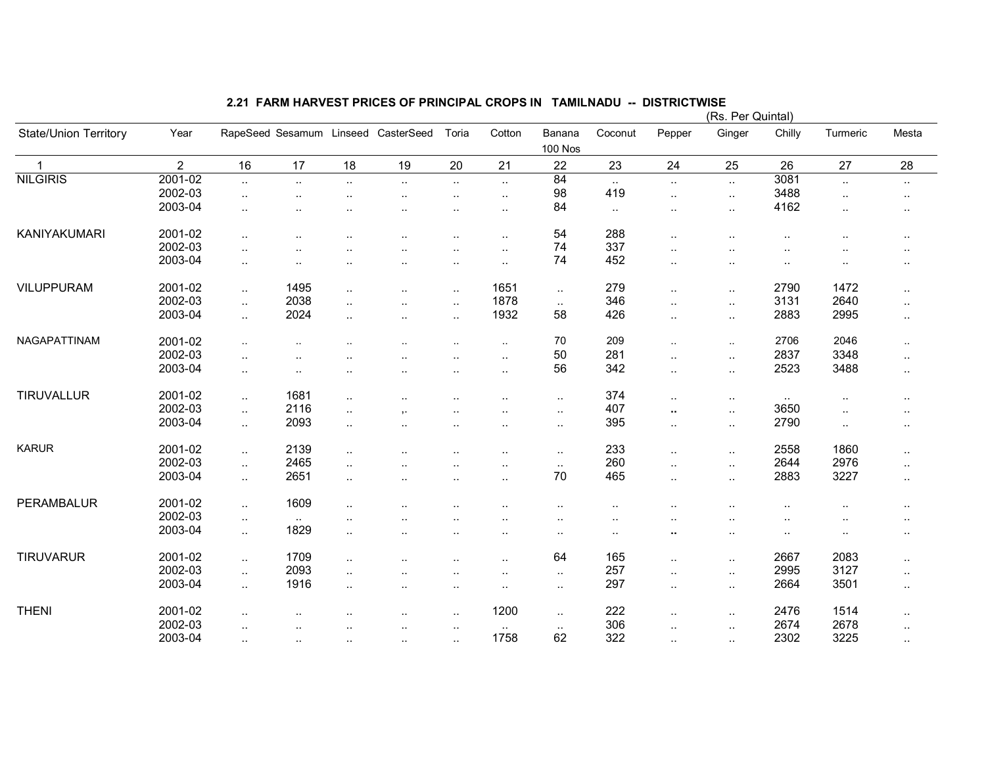|                       |                |                             |           |                      |                                     |                      |                      |                          |                        |                      | (Rs. Per Quintal)    |                      |                             |                      |
|-----------------------|----------------|-----------------------------|-----------|----------------------|-------------------------------------|----------------------|----------------------|--------------------------|------------------------|----------------------|----------------------|----------------------|-----------------------------|----------------------|
| State/Union Territory | Year           |                             |           |                      | RapeSeed Sesamum Linseed CasterSeed | Toria                | Cotton               | Banana<br><b>100 Nos</b> | Coconut                | Pepper               | Ginger               | Chilly               | Turmeric                    | Mesta                |
| $\mathbf{1}$          | $\overline{2}$ | 16                          | 17        | 18                   | 19                                  | 20                   | 21                   | 22                       | 23                     | 24                   | 25                   | 26                   | 27                          | 28                   |
| <b>NILGIRIS</b>       | 2001-02        | $\ddotsc$                   | $\ddotsc$ | $\ddot{\phantom{1}}$ | $\ddot{\phantom{a}}$                | $\sim$               | $\ldots$             | 84                       | $\sim$                 | $\sim$               | $\ddotsc$            | 3081                 | $\mathcal{L}_{\mathcal{A}}$ | $\sim$               |
|                       | 2002-03        | $\ddot{\phantom{a}}$        | $\ddotsc$ | $\ldots$             | $\cdot$ .                           | $\sim$               | $\ldots$             | 98                       | 419                    | $\sim$               | $\sim$               | 3488                 | $\ddotsc$                   | $\cdot$ .            |
|                       | 2003-04        | $\cdot$ .                   | $\cdot$ . | $\ddot{\phantom{a}}$ | $\ddot{\phantom{0}}$                | $\ddotsc$            | $\ddotsc$            | 84                       | $\sim$                 | $\sim$               | $\ddotsc$            | 4162                 | $\ddot{\phantom{a}}$        | $\cdot$ .            |
|                       |                |                             |           |                      |                                     |                      |                      |                          |                        |                      |                      |                      |                             |                      |
| KANIYAKUMARI          | 2001-02        | $\ddot{\phantom{1}}$        |           |                      | $\ddot{\phantom{0}}$                | ٠.                   | $\ddot{\phantom{a}}$ | 54                       | 288                    | $\ddotsc$            | $\ddotsc$            | $\ddotsc$            | $\ddotsc$                   |                      |
|                       | 2002-03        | $\ddot{\phantom{a}}$ .      |           |                      |                                     |                      | $\ddot{\phantom{a}}$ | 74                       | 337                    | $\ddotsc$            | $\ddotsc$            |                      |                             |                      |
|                       | 2003-04        | $\ddotsc$                   | $\ddotsc$ | $\cdot$ .            | $\ddot{\phantom{a}}$                | $\ddotsc$            | $\ddot{\phantom{a}}$ | 74                       | 452                    | $\ddotsc$            | $\ddotsc$            | $\ddot{\phantom{a}}$ |                             |                      |
|                       |                |                             |           |                      |                                     |                      |                      |                          |                        |                      |                      |                      |                             |                      |
| <b>VILUPPURAM</b>     | 2001-02        | $\ddot{\phantom{a}}$        | 1495      | $\ddotsc$            | $\ddot{\phantom{a}}$                | $\ddotsc$            | 1651                 | $\ddotsc$                | 279                    | $\sim$               | $\ddotsc$            | 2790                 | 1472                        | $\ddotsc$            |
|                       | 2002-03        | $\ddotsc$                   | 2038      | $\ddotsc$            |                                     | $\ddotsc$            | 1878                 | $\ddotsc$                | 346                    | $\ddotsc$            | $\ldots$             | 3131                 | 2640                        | $\sim$               |
|                       | 2003-04        | $\mathcal{L}_{\mathcal{A}}$ | 2024      | $\ddotsc$            | $\ddot{\phantom{a}}$                | $\ldots$             | 1932                 | 58                       | 426                    | $\mathbf{L}$         | $\ddotsc$            | 2883                 | 2995                        |                      |
|                       |                |                             |           |                      |                                     |                      |                      |                          |                        |                      |                      |                      |                             | $\sim$               |
| NAGAPATTINAM          | 2001-02        | $\sim$                      |           |                      |                                     |                      | $\ddotsc$            | $70\,$                   | 209                    | $\sim$               | $\sim$               | 2706                 | 2046                        | $\sim$               |
|                       | 2002-03        | $\ddotsc$                   |           | $\cdot$ .            | ٠.                                  | ٠.                   | $\ddotsc$            | 50                       | 281                    | $\ddotsc$            | $\sim$               | 2837                 | 3348                        | $\ddotsc$            |
|                       | 2003-04        | $\ddot{\phantom{1}}$        | $\cdot$ . | $\ddot{\phantom{a}}$ | $\ddot{\phantom{a}}$                | ٠.                   | $\cdot$ .            | 56                       | 342                    | $\ddotsc$            | $\sim$               | 2523                 | 3488                        | $\cdot$ .            |
|                       |                |                             |           |                      |                                     |                      |                      |                          |                        |                      |                      |                      |                             |                      |
| TIRUVALLUR            | 2001-02        | $\ddotsc$                   | 1681      | $\ddotsc$            |                                     | $\ddot{\phantom{a}}$ | $\ddot{\phantom{a}}$ | $\sim$ $\sim$            | 374                    | $\sim$               | $\sim$               | $\ldots$             |                             |                      |
|                       | 2002-03        | $\mathcal{L}_{\mathcal{A}}$ | 2116      | $\ldots$             | ,.                                  | ٠.                   | $\ddot{\phantom{a}}$ | $\ldots$                 | 407                    | $\ddot{\phantom{1}}$ | $\sim$               | 3650                 | $\ddot{\phantom{a}}$        | $\ddot{\phantom{a}}$ |
|                       | 2003-04        | $\ddotsc$                   | 2093      | $\ddotsc$            | $\ddot{\phantom{a}}$                | $\ddot{\phantom{a}}$ | $\cdot$ .            | $\sim$ .                 | 395                    | $\sim$               | $\sim$               | 2790                 | $\ddotsc$                   | $\ddotsc$            |
|                       |                |                             |           |                      |                                     |                      |                      |                          |                        |                      |                      |                      |                             |                      |
| <b>KARUR</b>          | 2001-02        | $\ddot{\phantom{a}}$        | 2139      | $\ddotsc$            |                                     |                      | $\cdot$ .            | $\sim$ $\sim$            | 233                    | $\ddotsc$            | $\sim$               | 2558                 | 1860                        | $\cdot$ .            |
|                       | 2002-03        | $\ddotsc$                   | 2465      | $\ddotsc$            | $\ddot{\phantom{0}}$                | $\ddotsc$            |                      | $\sim$                   | 260                    | $\ddotsc$            | $\ddotsc$            | 2644                 | 2976                        | $\ldots$             |
|                       | 2003-04        | $\ddotsc$                   | 2651      | $\ddotsc$            | $\cdot$ .                           | $\sim$               | $\ldots$             | 70                       | 465                    | $\sim$               | $\sim$               | 2883                 | 3227                        | $\sim$               |
|                       |                |                             |           |                      |                                     |                      |                      |                          |                        |                      |                      |                      |                             |                      |
| PERAMBALUR            | 2001-02        | $\ddotsc$                   | 1609      | $\cdot$ .            |                                     |                      |                      | $\cdot$ .                | $\ddotsc$              | $\ddot{\phantom{a}}$ | $\ddotsc$            | ٠.                   |                             | $\cdot$ .            |
|                       | 2002-03        | $\ddotsc$                   | $\sim$    | $\ddot{\phantom{a}}$ |                                     |                      |                      | $\ddot{\phantom{a}}$     | $\ddotsc$              | $\ddot{\phantom{a}}$ | $\ddot{\phantom{a}}$ |                      |                             |                      |
|                       | 2003-04        | $\ddotsc$                   | 1829      | $\ddotsc$            |                                     |                      | $\cdot$ .            | $\cdot$ .                | $\ddot{\phantom{a}}$ . | ٠.                   | $\cdot$ .            | $\ddot{\phantom{a}}$ |                             | $\cdot$ .            |
|                       |                |                             |           |                      |                                     |                      |                      |                          |                        |                      |                      |                      |                             |                      |
| <b>TIRUVARUR</b>      | 2001-02        | $\ddot{\phantom{a}}$        | 1709      | $\cdot$ .            | $\ddot{\phantom{a}}$                | $\ddotsc$            | $\ddotsc$            | 64                       | 165                    | $\ddotsc$            | $\ldots$             | 2667                 | 2083                        | $\ddotsc$            |
|                       | 2002-03        | $\mathcal{L}_{\mathcal{A}}$ | 2093      | $\cdot$ .            |                                     | $\ddotsc$            | $\cdot$ .            | $\sim$                   | 257                    | $\sim$               | $\sim$               | 2995                 | 3127                        | $\sim$               |
|                       | 2003-04        | $\ddot{\phantom{1}}$        | 1916      | $\ddotsc$            | $\ddot{\phantom{a}}$                | $\ddotsc$            | $\ddotsc$            | $\ldots$                 | 297                    | $\mathbf{L}$         | $\sim$               | 2664                 | 3501                        | $\cdot$ .            |
|                       |                |                             |           |                      |                                     |                      |                      |                          |                        |                      |                      |                      |                             |                      |
| <b>THENI</b>          | 2001-02        | $\ddotsc$                   |           |                      |                                     | $\ddotsc$            | 1200                 | $\sim$                   | 222                    | $\ddotsc$            | $\sim$               | 2476                 | 1514                        | $\sim$               |
|                       | 2002-03        | $\sim$                      |           | $\cdot$ .            | $\cdot$ .                           | $\ddot{\phantom{a}}$ | $\sim$ $\sim$        | $\sim$                   | 306                    | $\ddot{\phantom{a}}$ | $\sim$               | 2674                 | 2678                        | $\sim$               |
|                       | 2003-04        | $\sim$                      | $\cdot$ . | $\cdot$ .            | $\cdot$ .                           | $\sim$               | 1758                 | 62                       | 322                    | $\sim$               | $\sim$               | 2302                 | 3225                        | $\sim$               |